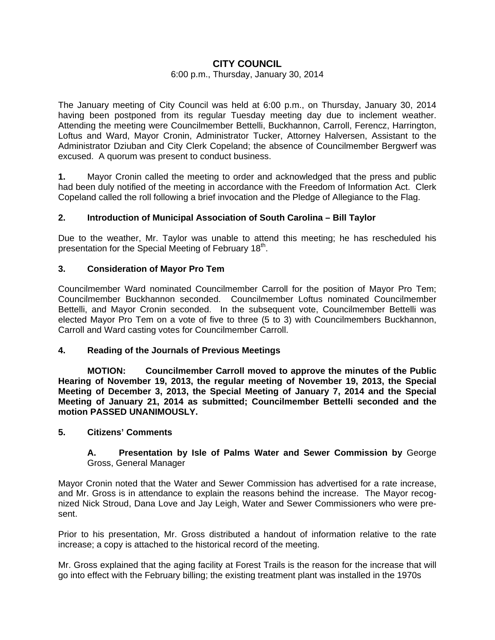# **CITY COUNCIL**

### 6:00 p.m., Thursday, January 30, 2014

The January meeting of City Council was held at 6:00 p.m., on Thursday, January 30, 2014 having been postponed from its regular Tuesday meeting day due to inclement weather. Attending the meeting were Councilmember Bettelli, Buckhannon, Carroll, Ferencz, Harrington, Loftus and Ward, Mayor Cronin, Administrator Tucker, Attorney Halversen, Assistant to the Administrator Dziuban and City Clerk Copeland; the absence of Councilmember Bergwerf was excused. A quorum was present to conduct business.

**1.** Mayor Cronin called the meeting to order and acknowledged that the press and public had been duly notified of the meeting in accordance with the Freedom of Information Act. Clerk Copeland called the roll following a brief invocation and the Pledge of Allegiance to the Flag.

## **2. Introduction of Municipal Association of South Carolina – Bill Taylor**

Due to the weather, Mr. Taylor was unable to attend this meeting; he has rescheduled his presentation for the Special Meeting of February 18<sup>th</sup>.

### **3. Consideration of Mayor Pro Tem**

Councilmember Ward nominated Councilmember Carroll for the position of Mayor Pro Tem; Councilmember Buckhannon seconded. Councilmember Loftus nominated Councilmember Bettelli, and Mayor Cronin seconded. In the subsequent vote, Councilmember Bettelli was elected Mayor Pro Tem on a vote of five to three (5 to 3) with Councilmembers Buckhannon, Carroll and Ward casting votes for Councilmember Carroll.

#### **4. Reading of the Journals of Previous Meetings**

 **MOTION: Councilmember Carroll moved to approve the minutes of the Public Hearing of November 19, 2013, the regular meeting of November 19, 2013, the Special Meeting of December 3, 2013, the Special Meeting of January 7, 2014 and the Special Meeting of January 21, 2014 as submitted; Councilmember Bettelli seconded and the motion PASSED UNANIMOUSLY.** 

### **5. Citizens' Comments**

### **A. Presentation by Isle of Palms Water and Sewer Commission by** George Gross, General Manager

Mayor Cronin noted that the Water and Sewer Commission has advertised for a rate increase, and Mr. Gross is in attendance to explain the reasons behind the increase. The Mayor recognized Nick Stroud, Dana Love and Jay Leigh, Water and Sewer Commissioners who were present.

Prior to his presentation, Mr. Gross distributed a handout of information relative to the rate increase; a copy is attached to the historical record of the meeting.

Mr. Gross explained that the aging facility at Forest Trails is the reason for the increase that will go into effect with the February billing; the existing treatment plant was installed in the 1970s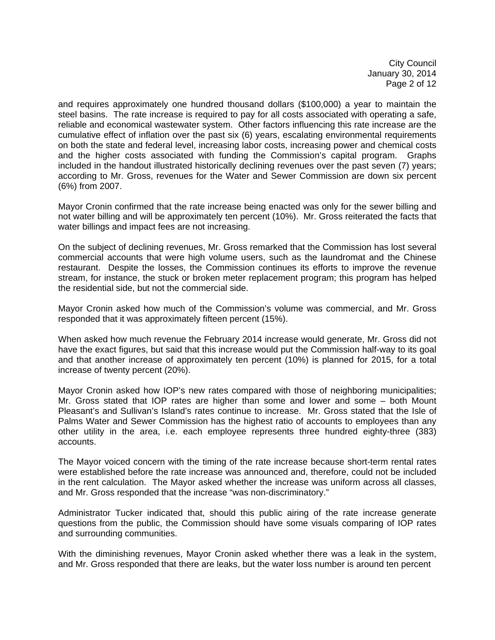City Council January 30, 2014 Page 2 of 12

and requires approximately one hundred thousand dollars (\$100,000) a year to maintain the steel basins. The rate increase is required to pay for all costs associated with operating a safe, reliable and economical wastewater system. Other factors influencing this rate increase are the cumulative effect of inflation over the past six (6) years, escalating environmental requirements on both the state and federal level, increasing labor costs, increasing power and chemical costs and the higher costs associated with funding the Commission's capital program. Graphs included in the handout illustrated historically declining revenues over the past seven (7) years; according to Mr. Gross, revenues for the Water and Sewer Commission are down six percent (6%) from 2007.

Mayor Cronin confirmed that the rate increase being enacted was only for the sewer billing and not water billing and will be approximately ten percent (10%). Mr. Gross reiterated the facts that water billings and impact fees are not increasing.

On the subject of declining revenues, Mr. Gross remarked that the Commission has lost several commercial accounts that were high volume users, such as the laundromat and the Chinese restaurant. Despite the losses, the Commission continues its efforts to improve the revenue stream, for instance, the stuck or broken meter replacement program; this program has helped the residential side, but not the commercial side.

Mayor Cronin asked how much of the Commission's volume was commercial, and Mr. Gross responded that it was approximately fifteen percent (15%).

When asked how much revenue the February 2014 increase would generate, Mr. Gross did not have the exact figures, but said that this increase would put the Commission half-way to its goal and that another increase of approximately ten percent (10%) is planned for 2015, for a total increase of twenty percent (20%).

Mayor Cronin asked how IOP's new rates compared with those of neighboring municipalities; Mr. Gross stated that IOP rates are higher than some and lower and some – both Mount Pleasant's and Sullivan's Island's rates continue to increase. Mr. Gross stated that the Isle of Palms Water and Sewer Commission has the highest ratio of accounts to employees than any other utility in the area, i.e. each employee represents three hundred eighty-three (383) accounts.

The Mayor voiced concern with the timing of the rate increase because short-term rental rates were established before the rate increase was announced and, therefore, could not be included in the rent calculation. The Mayor asked whether the increase was uniform across all classes, and Mr. Gross responded that the increase "was non-discriminatory."

Administrator Tucker indicated that, should this public airing of the rate increase generate questions from the public, the Commission should have some visuals comparing of IOP rates and surrounding communities.

With the diminishing revenues, Mayor Cronin asked whether there was a leak in the system, and Mr. Gross responded that there are leaks, but the water loss number is around ten percent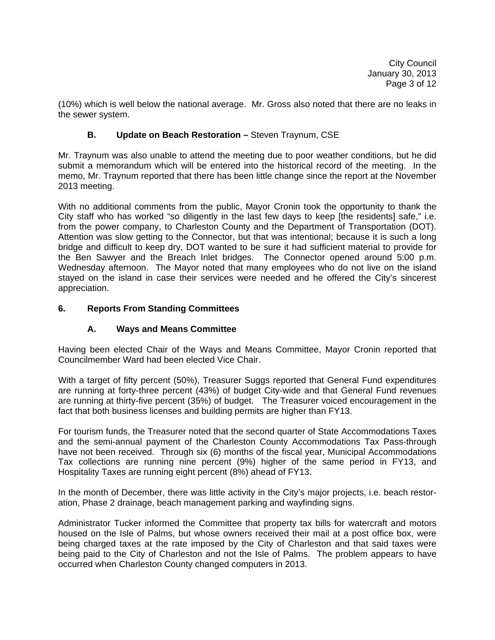(10%) which is well below the national average. Mr. Gross also noted that there are no leaks in the sewer system.

## **B.** Update on Beach Restoration – Steven Traynum, CSE

Mr. Traynum was also unable to attend the meeting due to poor weather conditions, but he did submit a memorandum which will be entered into the historical record of the meeting. In the memo, Mr. Traynum reported that there has been little change since the report at the November 2013 meeting.

With no additional comments from the public, Mayor Cronin took the opportunity to thank the City staff who has worked "so diligently in the last few days to keep [the residents] safe," i.e. from the power company, to Charleston County and the Department of Transportation (DOT). Attention was slow getting to the Connector, but that was intentional; because it is such a long bridge and difficult to keep dry, DOT wanted to be sure it had sufficient material to provide for the Ben Sawyer and the Breach Inlet bridges. The Connector opened around 5:00 p.m. Wednesday afternoon. The Mayor noted that many employees who do not live on the island stayed on the island in case their services were needed and he offered the City's sincerest appreciation.

## **6. Reports From Standing Committees**

## **A. Ways and Means Committee**

Having been elected Chair of the Ways and Means Committee, Mayor Cronin reported that Councilmember Ward had been elected Vice Chair.

With a target of fifty percent (50%), Treasurer Suggs reported that General Fund expenditures are running at forty-three percent (43%) of budget City-wide and that General Fund revenues are running at thirty-five percent (35%) of budget. The Treasurer voiced encouragement in the fact that both business licenses and building permits are higher than FY13.

For tourism funds, the Treasurer noted that the second quarter of State Accommodations Taxes and the semi-annual payment of the Charleston County Accommodations Tax Pass-through have not been received. Through six (6) months of the fiscal year, Municipal Accommodations Tax collections are running nine percent (9%) higher of the same period in FY13, and Hospitality Taxes are running eight percent (8%) ahead of FY13.

In the month of December, there was little activity in the City's major projects, i.e. beach restoration, Phase 2 drainage, beach management parking and wayfinding signs.

Administrator Tucker informed the Committee that property tax bills for watercraft and motors housed on the Isle of Palms, but whose owners received their mail at a post office box, were being charged taxes at the rate imposed by the City of Charleston and that said taxes were being paid to the City of Charleston and not the Isle of Palms. The problem appears to have occurred when Charleston County changed computers in 2013.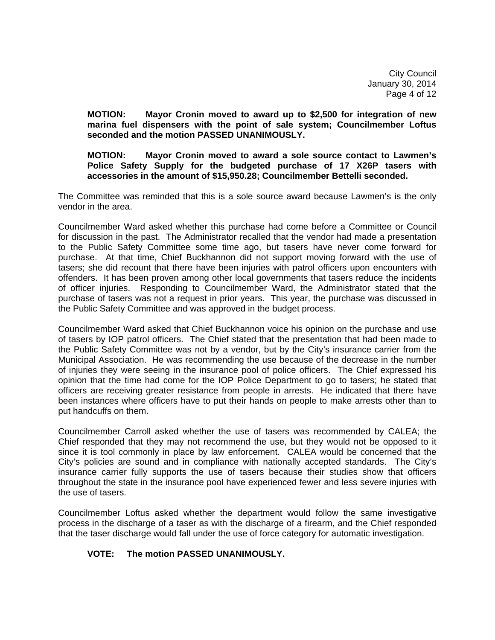City Council January 30, 2014 Page 4 of 12

 **MOTION: Mayor Cronin moved to award up to \$2,500 for integration of new marina fuel dispensers with the point of sale system; Councilmember Loftus seconded and the motion PASSED UNANIMOUSLY.** 

### **MOTION: Mayor Cronin moved to award a sole source contact to Lawmen's Police Safety Supply for the budgeted purchase of 17 X26P tasers with accessories in the amount of \$15,950.28; Councilmember Bettelli seconded.**

The Committee was reminded that this is a sole source award because Lawmen's is the only vendor in the area.

Councilmember Ward asked whether this purchase had come before a Committee or Council for discussion in the past. The Administrator recalled that the vendor had made a presentation to the Public Safety Committee some time ago, but tasers have never come forward for purchase. At that time, Chief Buckhannon did not support moving forward with the use of tasers; she did recount that there have been injuries with patrol officers upon encounters with offenders. It has been proven among other local governments that tasers reduce the incidents of officer injuries. Responding to Councilmember Ward, the Administrator stated that the purchase of tasers was not a request in prior years. This year, the purchase was discussed in the Public Safety Committee and was approved in the budget process.

Councilmember Ward asked that Chief Buckhannon voice his opinion on the purchase and use of tasers by IOP patrol officers. The Chief stated that the presentation that had been made to the Public Safety Committee was not by a vendor, but by the City's insurance carrier from the Municipal Association. He was recommending the use because of the decrease in the number of injuries they were seeing in the insurance pool of police officers. The Chief expressed his opinion that the time had come for the IOP Police Department to go to tasers; he stated that officers are receiving greater resistance from people in arrests. He indicated that there have been instances where officers have to put their hands on people to make arrests other than to put handcuffs on them.

Councilmember Carroll asked whether the use of tasers was recommended by CALEA; the Chief responded that they may not recommend the use, but they would not be opposed to it since it is tool commonly in place by law enforcement. CALEA would be concerned that the City's policies are sound and in compliance with nationally accepted standards. The City's insurance carrier fully supports the use of tasers because their studies show that officers throughout the state in the insurance pool have experienced fewer and less severe injuries with the use of tasers.

Councilmember Loftus asked whether the department would follow the same investigative process in the discharge of a taser as with the discharge of a firearm, and the Chief responded that the taser discharge would fall under the use of force category for automatic investigation.

## **VOTE: The motion PASSED UNANIMOUSLY.**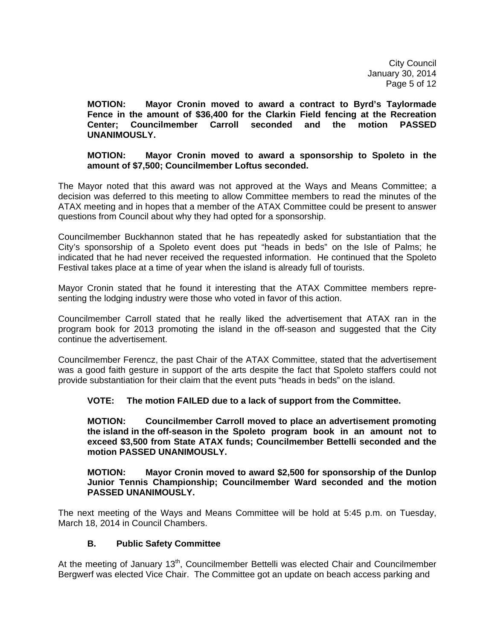City Council January 30, 2014 Page 5 of 12

 **MOTION: Mayor Cronin moved to award a contract to Byrd's Taylormade Fence in the amount of \$36,400 for the Clarkin Field fencing at the Recreation Center; Councilmember Carroll seconded and the motion PASSED UNANIMOUSLY.** 

### **MOTION: Mayor Cronin moved to award a sponsorship to Spoleto in the amount of \$7,500; Councilmember Loftus seconded.**

The Mayor noted that this award was not approved at the Ways and Means Committee; a decision was deferred to this meeting to allow Committee members to read the minutes of the ATAX meeting and in hopes that a member of the ATAX Committee could be present to answer questions from Council about why they had opted for a sponsorship.

Councilmember Buckhannon stated that he has repeatedly asked for substantiation that the City's sponsorship of a Spoleto event does put "heads in beds" on the Isle of Palms; he indicated that he had never received the requested information. He continued that the Spoleto Festival takes place at a time of year when the island is already full of tourists.

Mayor Cronin stated that he found it interesting that the ATAX Committee members representing the lodging industry were those who voted in favor of this action.

Councilmember Carroll stated that he really liked the advertisement that ATAX ran in the program book for 2013 promoting the island in the off-season and suggested that the City continue the advertisement.

Councilmember Ferencz, the past Chair of the ATAX Committee, stated that the advertisement was a good faith gesture in support of the arts despite the fact that Spoleto staffers could not provide substantiation for their claim that the event puts "heads in beds" on the island.

**VOTE: The motion FAILED due to a lack of support from the Committee.** 

 **MOTION: Councilmember Carroll moved to place an advertisement promoting the island in the off-season in the Spoleto program book in an amount not to exceed \$3,500 from State ATAX funds; Councilmember Bettelli seconded and the motion PASSED UNANIMOUSLY.** 

 **MOTION: Mayor Cronin moved to award \$2,500 for sponsorship of the Dunlop Junior Tennis Championship; Councilmember Ward seconded and the motion PASSED UNANIMOUSLY.** 

The next meeting of the Ways and Means Committee will be hold at 5:45 p.m. on Tuesday, March 18, 2014 in Council Chambers.

## **B. Public Safety Committee**

At the meeting of January 13<sup>th</sup>, Councilmember Bettelli was elected Chair and Councilmember Bergwerf was elected Vice Chair. The Committee got an update on beach access parking and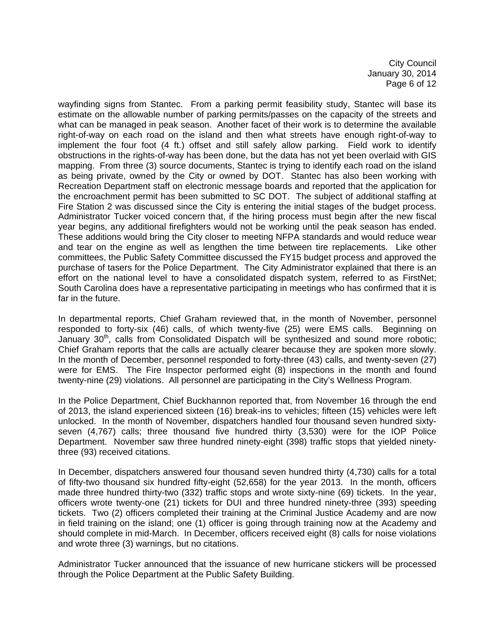City Council January 30, 2014 Page 6 of 12

wayfinding signs from Stantec. From a parking permit feasibility study, Stantec will base its estimate on the allowable number of parking permits/passes on the capacity of the streets and what can be managed in peak season. Another facet of their work is to determine the available right-of-way on each road on the island and then what streets have enough right-of-way to implement the four foot (4 ft.) offset and still safely allow parking. Field work to identify obstructions in the rights-of-way has been done, but the data has not yet been overlaid with GIS mapping. From three (3) source documents, Stantec is trying to identify each road on the island as being private, owned by the City or owned by DOT. Stantec has also been working with Recreation Department staff on electronic message boards and reported that the application for the encroachment permit has been submitted to SC DOT. The subject of additional staffing at Fire Station 2 was discussed since the City is entering the initial stages of the budget process. Administrator Tucker voiced concern that, if the hiring process must begin after the new fiscal year begins, any additional firefighters would not be working until the peak season has ended. These additions would bring the City closer to meeting NFPA standards and would reduce wear and tear on the engine as well as lengthen the time between tire replacements. Like other committees, the Public Safety Committee discussed the FY15 budget process and approved the purchase of tasers for the Police Department. The City Administrator explained that there is an effort on the national level to have a consolidated dispatch system, referred to as FirstNet; South Carolina does have a representative participating in meetings who has confirmed that it is far in the future.

In departmental reports, Chief Graham reviewed that, in the month of November, personnel responded to forty-six (46) calls, of which twenty-five (25) were EMS calls. Beginning on January  $30<sup>th</sup>$ , calls from Consolidated Dispatch will be synthesized and sound more robotic; Chief Graham reports that the calls are actually clearer because they are spoken more slowly. In the month of December, personnel responded to forty-three (43) calls, and twenty-seven (27) were for EMS. The Fire Inspector performed eight (8) inspections in the month and found twenty-nine (29) violations. All personnel are participating in the City's Wellness Program.

In the Police Department, Chief Buckhannon reported that, from November 16 through the end of 2013, the island experienced sixteen (16) break-ins to vehicles; fifteen (15) vehicles were left unlocked. In the month of November, dispatchers handled four thousand seven hundred sixtyseven (4,767) calls; three thousand five hundred thirty (3,530) were for the IOP Police Department. November saw three hundred ninety-eight (398) traffic stops that yielded ninetythree (93) received citations.

In December, dispatchers answered four thousand seven hundred thirty (4,730) calls for a total of fifty-two thousand six hundred fifty-eight (52,658) for the year 2013. In the month, officers made three hundred thirty-two (332) traffic stops and wrote sixty-nine (69) tickets. In the year, officers wrote twenty-one (21) tickets for DUI and three hundred ninety-three (393) speeding tickets. Two (2) officers completed their training at the Criminal Justice Academy and are now in field training on the island; one (1) officer is going through training now at the Academy and should complete in mid-March. In December, officers received eight (8) calls for noise violations and wrote three (3) warnings, but no citations.

Administrator Tucker announced that the issuance of new hurricane stickers will be processed through the Police Department at the Public Safety Building.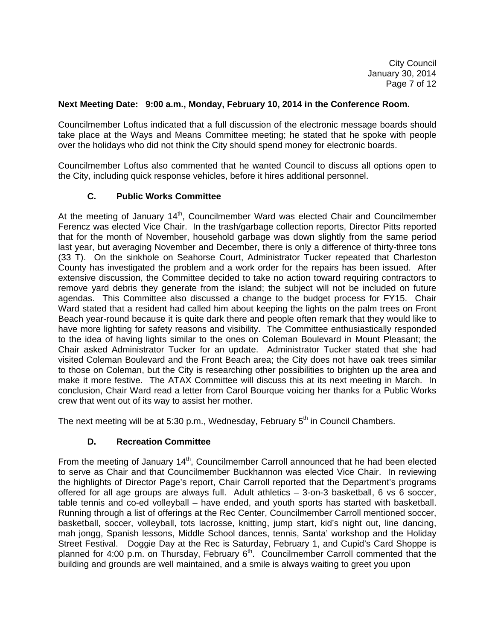City Council January 30, 2014 Page 7 of 12

### **Next Meeting Date: 9:00 a.m., Monday, February 10, 2014 in the Conference Room.**

Councilmember Loftus indicated that a full discussion of the electronic message boards should take place at the Ways and Means Committee meeting; he stated that he spoke with people over the holidays who did not think the City should spend money for electronic boards.

Councilmember Loftus also commented that he wanted Council to discuss all options open to the City, including quick response vehicles, before it hires additional personnel.

### **C. Public Works Committee**

At the meeting of January 14<sup>th</sup>, Councilmember Ward was elected Chair and Councilmember Ferencz was elected Vice Chair. In the trash/garbage collection reports, Director Pitts reported that for the month of November, household garbage was down slightly from the same period last year, but averaging November and December, there is only a difference of thirty-three tons (33 T). On the sinkhole on Seahorse Court, Administrator Tucker repeated that Charleston County has investigated the problem and a work order for the repairs has been issued. After extensive discussion, the Committee decided to take no action toward requiring contractors to remove yard debris they generate from the island; the subject will not be included on future agendas. This Committee also discussed a change to the budget process for FY15. Chair Ward stated that a resident had called him about keeping the lights on the palm trees on Front Beach year-round because it is quite dark there and people often remark that they would like to have more lighting for safety reasons and visibility. The Committee enthusiastically responded to the idea of having lights similar to the ones on Coleman Boulevard in Mount Pleasant; the Chair asked Administrator Tucker for an update. Administrator Tucker stated that she had visited Coleman Boulevard and the Front Beach area; the City does not have oak trees similar to those on Coleman, but the City is researching other possibilities to brighten up the area and make it more festive. The ATAX Committee will discuss this at its next meeting in March. In conclusion, Chair Ward read a letter from Carol Bourque voicing her thanks for a Public Works crew that went out of its way to assist her mother.

The next meeting will be at 5:30 p.m., Wednesday, February  $5<sup>th</sup>$  in Council Chambers.

## **D. Recreation Committee**

From the meeting of January 14<sup>th</sup>, Councilmember Carroll announced that he had been elected to serve as Chair and that Councilmember Buckhannon was elected Vice Chair. In reviewing the highlights of Director Page's report, Chair Carroll reported that the Department's programs offered for all age groups are always full. Adult athletics – 3-on-3 basketball, 6 vs 6 soccer, table tennis and co-ed volleyball – have ended, and youth sports has started with basketball. Running through a list of offerings at the Rec Center, Councilmember Carroll mentioned soccer, basketball, soccer, volleyball, tots lacrosse, knitting, jump start, kid's night out, line dancing, mah jongg, Spanish lessons, Middle School dances, tennis, Santa' workshop and the Holiday Street Festival. Doggie Day at the Rec is Saturday, February 1, and Cupid's Card Shoppe is planned for 4:00 p.m. on Thursday, February  $6<sup>th</sup>$ . Councilmember Carroll commented that the building and grounds are well maintained, and a smile is always waiting to greet you upon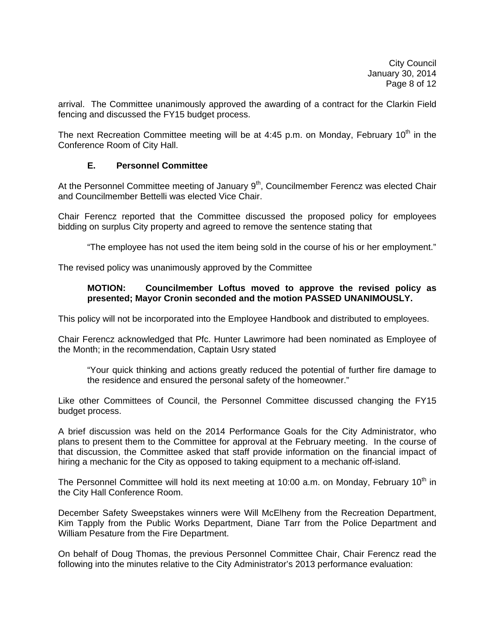arrival. The Committee unanimously approved the awarding of a contract for the Clarkin Field fencing and discussed the FY15 budget process.

The next Recreation Committee meeting will be at 4:45 p.m. on Monday, February 10<sup>th</sup> in the Conference Room of City Hall.

### **E. Personnel Committee**

At the Personnel Committee meeting of January  $9<sup>th</sup>$ , Councilmember Ferencz was elected Chair and Councilmember Bettelli was elected Vice Chair.

Chair Ferencz reported that the Committee discussed the proposed policy for employees bidding on surplus City property and agreed to remove the sentence stating that

"The employee has not used the item being sold in the course of his or her employment."

The revised policy was unanimously approved by the Committee

### **MOTION: Councilmember Loftus moved to approve the revised policy as presented; Mayor Cronin seconded and the motion PASSED UNANIMOUSLY.**

This policy will not be incorporated into the Employee Handbook and distributed to employees.

Chair Ferencz acknowledged that Pfc. Hunter Lawrimore had been nominated as Employee of the Month; in the recommendation, Captain Usry stated

 "Your quick thinking and actions greatly reduced the potential of further fire damage to the residence and ensured the personal safety of the homeowner."

Like other Committees of Council, the Personnel Committee discussed changing the FY15 budget process.

A brief discussion was held on the 2014 Performance Goals for the City Administrator, who plans to present them to the Committee for approval at the February meeting. In the course of that discussion, the Committee asked that staff provide information on the financial impact of hiring a mechanic for the City as opposed to taking equipment to a mechanic off-island.

The Personnel Committee will hold its next meeting at 10:00 a.m. on Monday, February 10<sup>th</sup> in the City Hall Conference Room.

December Safety Sweepstakes winners were Will McElheny from the Recreation Department, Kim Tapply from the Public Works Department, Diane Tarr from the Police Department and William Pesature from the Fire Department.

On behalf of Doug Thomas, the previous Personnel Committee Chair, Chair Ferencz read the following into the minutes relative to the City Administrator's 2013 performance evaluation: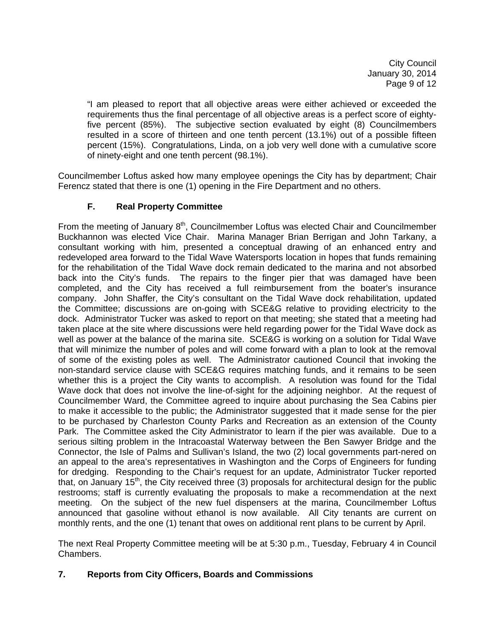City Council January 30, 2014 Page 9 of 12

 "I am pleased to report that all objective areas were either achieved or exceeded the requirements thus the final percentage of all objective areas is a perfect score of eighty five percent (85%). The subjective section evaluated by eight (8) Councilmembers resulted in a score of thirteen and one tenth percent (13.1%) out of a possible fifteen percent (15%). Congratulations, Linda, on a job very well done with a cumulative score of ninety-eight and one tenth percent (98.1%).

Councilmember Loftus asked how many employee openings the City has by department; Chair Ferencz stated that there is one (1) opening in the Fire Department and no others.

## **F. Real Property Committee**

From the meeting of January  $8<sup>th</sup>$ , Councilmember Loftus was elected Chair and Councilmember Buckhannon was elected Vice Chair. Marina Manager Brian Berrigan and John Tarkany, a consultant working with him, presented a conceptual drawing of an enhanced entry and redeveloped area forward to the Tidal Wave Watersports location in hopes that funds remaining for the rehabilitation of the Tidal Wave dock remain dedicated to the marina and not absorbed back into the City's funds. The repairs to the finger pier that was damaged have been completed, and the City has received a full reimbursement from the boater's insurance company. John Shaffer, the City's consultant on the Tidal Wave dock rehabilitation, updated the Committee; discussions are on-going with SCE&G relative to providing electricity to the dock. Administrator Tucker was asked to report on that meeting; she stated that a meeting had taken place at the site where discussions were held regarding power for the Tidal Wave dock as well as power at the balance of the marina site. SCE&G is working on a solution for Tidal Wave that will minimize the number of poles and will come forward with a plan to look at the removal of some of the existing poles as well. The Administrator cautioned Council that invoking the non-standard service clause with SCE&G requires matching funds, and it remains to be seen whether this is a project the City wants to accomplish. A resolution was found for the Tidal Wave dock that does not involve the line-of-sight for the adjoining neighbor. At the request of Councilmember Ward, the Committee agreed to inquire about purchasing the Sea Cabins pier to make it accessible to the public; the Administrator suggested that it made sense for the pier to be purchased by Charleston County Parks and Recreation as an extension of the County Park. The Committee asked the City Administrator to learn if the pier was available. Due to a serious silting problem in the Intracoastal Waterway between the Ben Sawyer Bridge and the Connector, the Isle of Palms and Sullivan's Island, the two (2) local governments part-nered on an appeal to the area's representatives in Washington and the Corps of Engineers for funding for dredging. Responding to the Chair's request for an update, Administrator Tucker reported that, on January 15<sup>th</sup>, the City received three (3) proposals for architectural design for the public restrooms; staff is currently evaluating the proposals to make a recommendation at the next meeting. On the subject of the new fuel dispensers at the marina, Councilmember Loftus announced that gasoline without ethanol is now available. All City tenants are current on monthly rents, and the one (1) tenant that owes on additional rent plans to be current by April.

The next Real Property Committee meeting will be at 5:30 p.m., Tuesday, February 4 in Council Chambers.

## **7. Reports from City Officers, Boards and Commissions**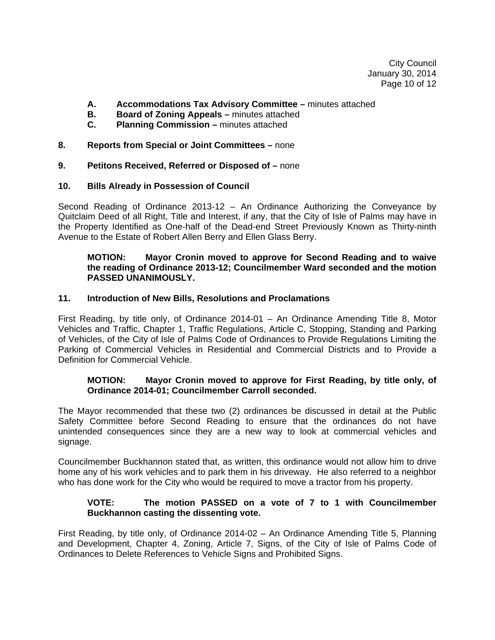City Council January 30, 2014 Page 10 of 12

- **A. Accommodations Tax Advisory Committee** minutes attached
- **B.** Board of Zoning Appeals minutes attached
- **C. Planning Commission** minutes attached
- **8. Reports from Special or Joint Committees** none

### **9. Petitons Received, Referred or Disposed of –** none

### **10. Bills Already in Possession of Council**

Second Reading of Ordinance 2013-12 – An Ordinance Authorizing the Conveyance by Quitclaim Deed of all Right, Title and Interest, if any, that the City of Isle of Palms may have in the Property Identified as One-half of the Dead-end Street Previously Known as Thirty-ninth Avenue to the Estate of Robert Allen Berry and Ellen Glass Berry.

## **MOTION: Mayor Cronin moved to approve for Second Reading and to waive the reading of Ordinance 2013-12; Councilmember Ward seconded and the motion PASSED UNANIMOUSLY.**

### **11. Introduction of New Bills, Resolutions and Proclamations**

First Reading, by title only, of Ordinance 2014-01 – An Ordinance Amending Title 8, Motor Vehicles and Traffic, Chapter 1, Traffic Regulations, Article C, Stopping, Standing and Parking of Vehicles, of the City of Isle of Palms Code of Ordinances to Provide Regulations Limiting the Parking of Commercial Vehicles in Residential and Commercial Districts and to Provide a Definition for Commercial Vehicle.

## **MOTION: Mayor Cronin moved to approve for First Reading, by title only, of Ordinance 2014-01; Councilmember Carroll seconded.**

The Mayor recommended that these two (2) ordinances be discussed in detail at the Public Safety Committee before Second Reading to ensure that the ordinances do not have unintended consequences since they are a new way to look at commercial vehicles and signage.

Councilmember Buckhannon stated that, as written, this ordinance would not allow him to drive home any of his work vehicles and to park them in his driveway. He also referred to a neighbor who has done work for the City who would be required to move a tractor from his property.

## **VOTE: The motion PASSED on a vote of 7 to 1 with Councilmember Buckhannon casting the dissenting vote.**

First Reading, by title only, of Ordinance 2014-02 – An Ordinance Amending Title 5, Planning and Development, Chapter 4, Zoning, Article 7, Signs, of the City of Isle of Palms Code of Ordinances to Delete References to Vehicle Signs and Prohibited Signs.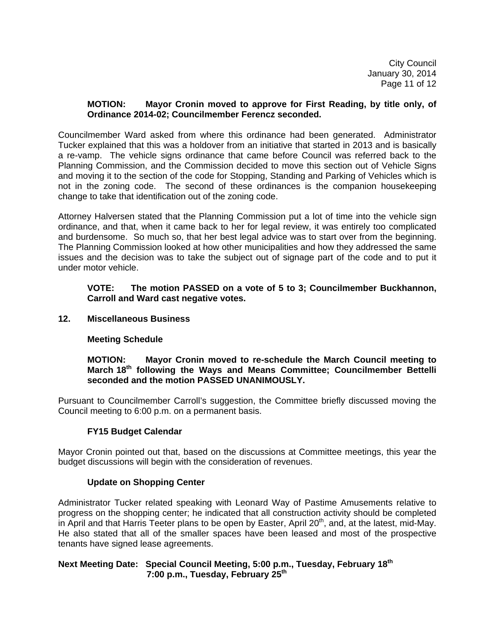City Council January 30, 2014 Page 11 of 12

### **MOTION: Mayor Cronin moved to approve for First Reading, by title only, of Ordinance 2014-02; Councilmember Ferencz seconded.**

Councilmember Ward asked from where this ordinance had been generated. Administrator Tucker explained that this was a holdover from an initiative that started in 2013 and is basically a re-vamp. The vehicle signs ordinance that came before Council was referred back to the Planning Commission, and the Commission decided to move this section out of Vehicle Signs and moving it to the section of the code for Stopping, Standing and Parking of Vehicles which is not in the zoning code. The second of these ordinances is the companion housekeeping change to take that identification out of the zoning code.

Attorney Halversen stated that the Planning Commission put a lot of time into the vehicle sign ordinance, and that, when it came back to her for legal review, it was entirely too complicated and burdensome. So much so, that her best legal advice was to start over from the beginning. The Planning Commission looked at how other municipalities and how they addressed the same issues and the decision was to take the subject out of signage part of the code and to put it under motor vehicle.

### **VOTE: The motion PASSED on a vote of 5 to 3; Councilmember Buckhannon, Carroll and Ward cast negative votes.**

### **12. Miscellaneous Business**

## **Meeting Schedule**

**MOTION: Mayor Cronin moved to re-schedule the March Council meeting to**  March 18<sup>th</sup> following the Ways and Means Committee; Councilmember Bettelli  **seconded and the motion PASSED UNANIMOUSLY.** 

Pursuant to Councilmember Carroll's suggestion, the Committee briefly discussed moving the Council meeting to 6:00 p.m. on a permanent basis.

#### **FY15 Budget Calendar**

Mayor Cronin pointed out that, based on the discussions at Committee meetings, this year the budget discussions will begin with the consideration of revenues.

#### **Update on Shopping Center**

Administrator Tucker related speaking with Leonard Way of Pastime Amusements relative to progress on the shopping center; he indicated that all construction activity should be completed in April and that Harris Teeter plans to be open by Easter, April  $20<sup>th</sup>$ , and, at the latest, mid-May. He also stated that all of the smaller spaces have been leased and most of the prospective tenants have signed lease agreements.

### **Next Meeting Date: Special Council Meeting, 5:00 p.m., Tuesday, February 18th 7:00 p.m., Tuesday, February 25th**